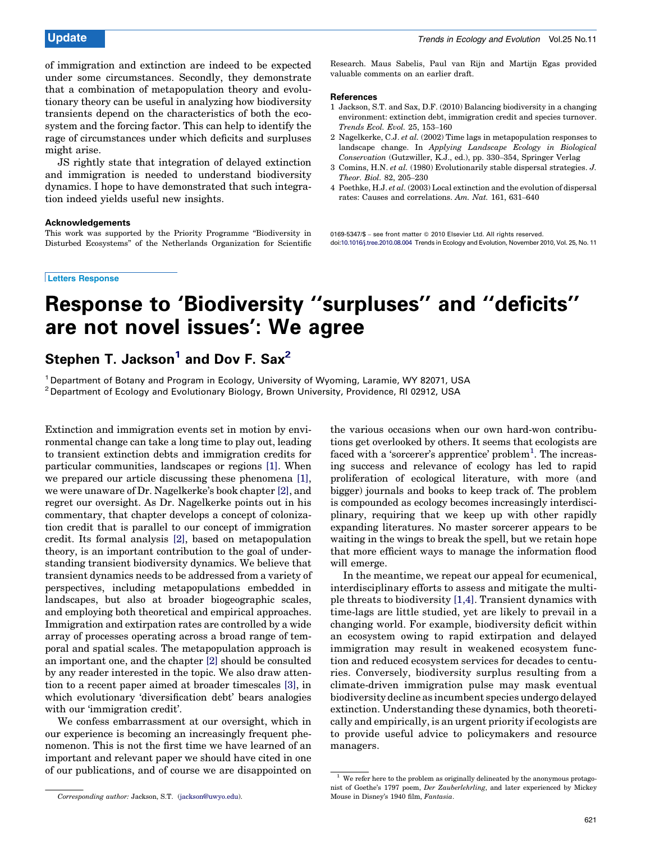of immigration and extinction are indeed to be expected under some circumstances. Secondly, they demonstrate that a combination of metapopulation theory and evolutionary theory can be useful in analyzing how biodiversity transients depend on the characteristics of both the ecosystem and the forcing factor. This can help to identify the rage of circumstances under which deficits and surpluses might arise.

JS rightly state that integration of delayed extinction and immigration is needed to understand biodiversity dynamics. I hope to have demonstrated that such integration indeed yields useful new insights.

### Acknowledgements

This work was supported by the Priority Programme ''Biodiversity in Disturbed Ecosystems'' of the Netherlands Organization for Scientific

### Letters Response

Research. Maus Sabelis, Paul van Rijn and Martijn Egas provided valuable comments on an earlier draft.

#### References

- 1 Jackson, S.T. and Sax, D.F. (2010) Balancing biodiversity in a changing environment: extinction debt, immigration credit and species turnover. Trends Ecol. Evol. 25, 153–160
- 2 Nagelkerke, C.J. et al. (2002) Time lags in metapopulation responses to landscape change. In Applying Landscape Ecology in Biological Conservation (Gutzwiller, K.J., ed.), pp. 330–354, Springer Verlag
- 3 Comins, H.N. et al. (1980) Evolutionarily stable dispersal strategies. J. Theor. Biol. 82, 205–230
- 4 Poethke, H.J. et al. (2003) Local extinction and the evolution of dispersal rates: Causes and correlations. Am. Nat. 161, 631–640

0169-5347/\$ - see front matter © 2010 Elsevier Ltd. All rights reserved. doi[:10.1016/j.tree.2010.08.004](http://dx.doi.org/10.1016/j.tree.2010.08.004) Trends in Ecology and Evolution, November 2010, Vol. 25, No. 11

# Response to 'Biodiversity ''surpluses'' and ''deficits'' are not novel issues': We agree

## Stephen T. Jackson<sup>1</sup> and Dov F. Sax<sup>2</sup>

<sup>1</sup> Department of Botany and Program in Ecology, University of Wyoming, Laramie, WY 82071, USA <sup>2</sup> Department of Ecology and Evolutionary Biology, Brown University, Providence, RI 02912, USA

Extinction and immigration events set in motion by environmental change can take a long time to play out, leading to transient extinction debts and immigration credits for particular communities, landscapes or regions [\[1\].](#page-1-0) When we prepared our article discussing these phenomena [\[1\]](#page-1-0), we were unaware of Dr. Nagelkerke's book chapter [\[2\],](#page-1-0) and regret our oversight. As Dr. Nagelkerke points out in his commentary, that chapter develops a concept of colonization credit that is parallel to our concept of immigration credit. Its formal analysis [\[2\]](#page-1-0), based on metapopulation theory, is an important contribution to the goal of understanding transient biodiversity dynamics. We believe that transient dynamics needs to be addressed from a variety of perspectives, including metapopulations embedded in landscapes, but also at broader biogeographic scales, and employing both theoretical and empirical approaches. Immigration and extirpation rates are controlled by a wide array of processes operating across a broad range of temporal and spatial scales. The metapopulation approach is an important one, and the chapter [\[2\]](#page-1-0) should be consulted by any reader interested in the topic. We also draw attention to a recent paper aimed at broader timescales [\[3\]](#page-1-0), in which evolutionary 'diversification debt' bears analogies with our 'immigration credit'.

We confess embarrassment at our oversight, which in our experience is becoming an increasingly frequent phenomenon. This is not the first time we have learned of an important and relevant paper we should have cited in one of our publications, and of course we are disappointed on

the various occasions when our own hard-won contributions get overlooked by others. It seems that ecologists are faced with a 'sorcerer's apprentice' problem<sup>1</sup>. The increasing success and relevance of ecology has led to rapid proliferation of ecological literature, with more (and bigger) journals and books to keep track of. The problem is compounded as ecology becomes increasingly interdisciplinary, requiring that we keep up with other rapidly expanding literatures. No master sorcerer appears to be waiting in the wings to break the spell, but we retain hope that more efficient ways to manage the information flood will emerge.

In the meantime, we repeat our appeal for ecumenical, interdisciplinary efforts to assess and mitigate the multiple threats to biodiversity [1,4]. Transient dynamics with time-lags are little studied, yet are likely to prevail in a changing world. For example, biodiversity deficit within an ecosystem owing to rapid extirpation and delayed immigration may result in weakened ecosystem function and reduced ecosystem services for decades to centuries. Conversely, biodiversity surplus resulting from a climate-driven immigration pulse may mask eventual biodiversity decline as incumbent species undergo delayed extinction. Understanding these dynamics, both theoretically and empirically, is an urgent priority if ecologists are to provide useful advice to policymakers and resource managers.

Corresponding author: Jackson, S.T. ([jackson@uwyo.edu\)](mailto:jackson@uwyo.edu).

 $^{\rm 1}$  We refer here to the problem as originally delineated by the anonymous protagonist of Goethe's 1797 poem, Der Zauberlehrling, and later experienced by Mickey Mouse in Disney's 1940 film, Fantasia.